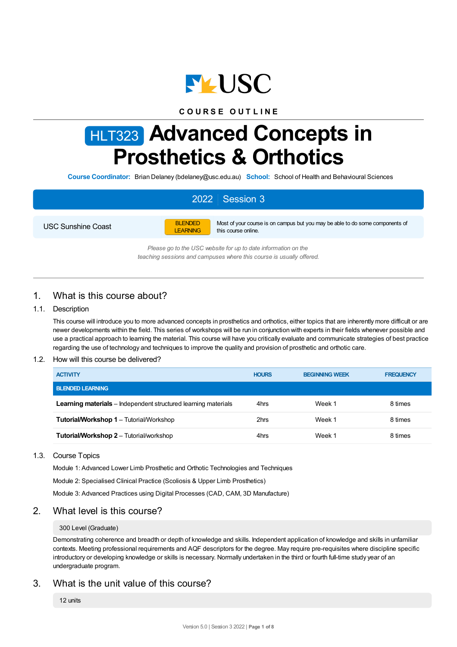

## **C O U R S E O U T L I N E**

# HLT323 **Advanced Concepts in Prosthetics & Orthotics**

**Course Coordinator:** Brian Delaney (bdelaney@usc.edu.au) **School:** School of Health and Behavioural Sciences

## 2022 Session 3

USC Sunshine Coast



Most of your course is on campus but you may be able to do some components of this course online.

*Please go to the USC website for up to date information on the teaching sessions and campuses where this course is usually offered.*

## 1. What is this course about?

## 1.1. Description

This course will introduce you to more advanced concepts in prosthetics and orthotics, either topics that are inherently more difficult or are newer developments within the field. This series of workshops will be run in conjunction with experts in their fields whenever possible and use a practical approach to learning the material. This course will have you critically evaluate and communicate strategies of best practice regarding the use of technology and techniques to improve the quality and provision of prosthetic and orthotic care.

## 1.2. How will this course be delivered?

| <b>ACTIVITY</b>                                                       | <b>HOURS</b> | <b>BEGINNING WEEK</b> | <b>FREQUENCY</b> |
|-----------------------------------------------------------------------|--------------|-----------------------|------------------|
| <b>BLENDED LEARNING</b>                                               |              |                       |                  |
| <b>Learning materials</b> – Independent structured learning materials | 4hrs         | Week 1                | 8 times          |
| <b>Tutorial/Workshop 1 – Tutorial/Workshop</b>                        | 2hrs         | Week 1                | 8 times          |
| <b>Tutorial/Workshop 2 - Tutorial/workshop</b>                        | 4hrs         | Week 1                | 8 times          |

## 1.3. Course Topics

Module 1: Advanced Lower Limb Prosthetic and Orthotic Technologies and Techniques

Module 2: Specialised Clinical Practice (Scoliosis & Upper Limb Prosthetics)

Module 3: Advanced Practices using Digital Processes (CAD, CAM, 3D Manufacture)

## 2. What level is this course?

## 300 Level (Graduate)

Demonstrating coherence and breadth or depth of knowledge and skills. Independent application of knowledge and skills in unfamiliar contexts. Meeting professional requirements and AQF descriptors for the degree. May require pre-requisites where discipline specific introductory or developing knowledge or skills is necessary. Normally undertaken in the third or fourth full-time study year of an undergraduate program.

## 3. What is the unit value of this course?

12 units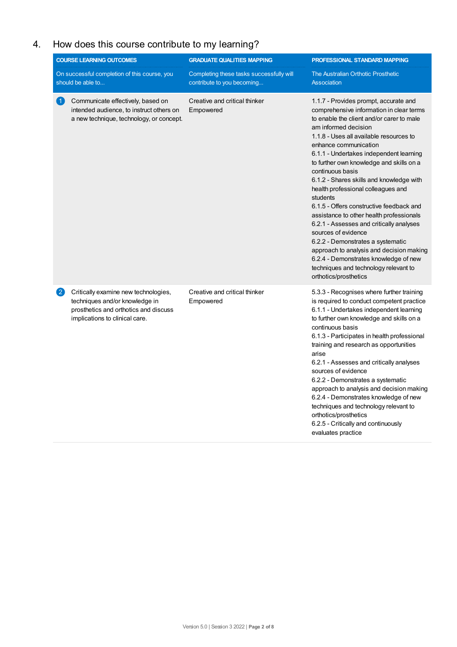## 4. How does this course contribute to my learning?

|                        | <b>COURSE LEARNING OUTCOMES</b><br>On successful completion of this course, you                                                                   | <b>GRADUATE QUALITIES MAPPING</b><br>Completing these tasks successfully will | PROFESSIONAL STANDARD MAPPING<br>The Australian Orthotic Prosthetic                                                                                                                                                                                                                                                                                                                                                                                                                                                                                                                                                             |
|------------------------|---------------------------------------------------------------------------------------------------------------------------------------------------|-------------------------------------------------------------------------------|---------------------------------------------------------------------------------------------------------------------------------------------------------------------------------------------------------------------------------------------------------------------------------------------------------------------------------------------------------------------------------------------------------------------------------------------------------------------------------------------------------------------------------------------------------------------------------------------------------------------------------|
| $\mathbf{1}$           | should be able to<br>Communicate effectively, based on<br>intended audience, to instruct others on<br>a new technique, technology, or concept.    | contribute to you becoming<br>Creative and critical thinker<br>Empowered      | <b>Association</b><br>1.1.7 - Provides prompt, accurate and<br>comprehensive information in clear terms<br>to enable the client and/or carer to male<br>am informed decision<br>1.1.8 - Uses all available resources to<br>enhance communication<br>6.1.1 - Undertakes independent learning<br>to further own knowledge and skills on a<br>continuous basis<br>6.1.2 - Shares skills and knowledge with<br>health professional colleagues and                                                                                                                                                                                   |
|                        |                                                                                                                                                   |                                                                               | students<br>6.1.5 - Offers constructive feedback and<br>assistance to other health professionals<br>6.2.1 - Assesses and critically analyses<br>sources of evidence<br>6.2.2 - Demonstrates a systematic<br>approach to analysis and decision making<br>6.2.4 - Demonstrates knowledge of new<br>techniques and technology relevant to<br>orthotics/prosthetics                                                                                                                                                                                                                                                                 |
| $\left 2\right\rangle$ | Critically examine new technologies,<br>techniques and/or knowledge in<br>prosthetics and orthotics and discuss<br>implications to clinical care. | Creative and critical thinker<br>Empowered                                    | 5.3.3 - Recognises where further training<br>is required to conduct competent practice<br>6.1.1 - Undertakes independent learning<br>to further own knowledge and skills on a<br>continuous basis<br>6.1.3 - Participates in health professional<br>training and research as opportunities<br>arise<br>6.2.1 - Assesses and critically analyses<br>sources of evidence<br>6.2.2 - Demonstrates a systematic<br>approach to analysis and decision making<br>6.2.4 - Demonstrates knowledge of new<br>techniques and technology relevant to<br>orthotics/prosthetics<br>6.2.5 - Critically and continuously<br>evaluates practice |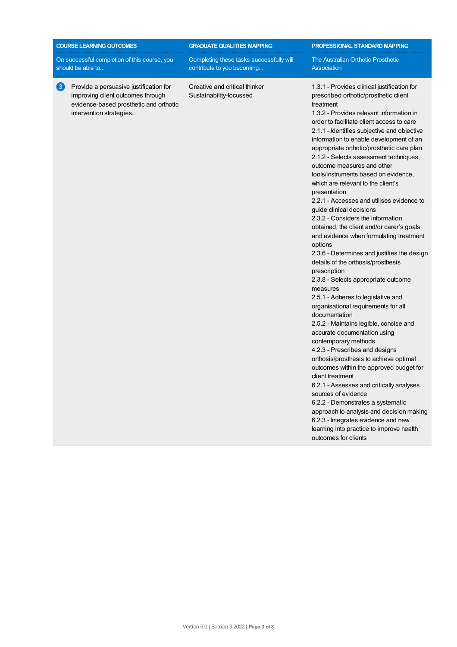| <b>COURSE LEARNING OUTCOMES</b><br><b>GRADUATE QUALITIES MAPPING</b><br>PROFESSIONAL STANDARD MAPPING<br>On successful completion of this course, you<br>Completing these tasks successfully will<br>The Australian Orthotic Prosthetic<br>should be able to<br>contribute to you becoming<br>Association<br>$\bf \overline{\bf 3}$<br>Provide a persuasive justification for<br>Creative and critical thinker<br>1.3.1 - Provides clinical justification for<br>improving client outcomes through<br>Sustainability-focussed<br>prescribed orthotic/prosthetic client<br>evidence-based prosthetic and orthotic<br>treatment<br>1.3.2 - Provides relevant information in<br>intervention strategies.<br>order to facilitate client access to care<br>2.1.1 - Identifies subjective and objective<br>information to enable development of an<br>appropriate orthotic/prosthetic care plan<br>2.1.2 - Selects assessment techniques,<br>outcome measures and other<br>tools/instruments based on evidence,<br>which are relevant to the client's<br>presentation<br>2.2.1 - Accesses and utilises evidence to<br>guide clinical decisions<br>2.3.2 - Considers the information<br>obtained, the client and/or carer's goals<br>and evidence when formulating treatment<br>options<br>details of the orthosis/prosthesis<br>prescription<br>2.3.8 - Selects appropriate outcome |  |                                                                                                     |
|-------------------------------------------------------------------------------------------------------------------------------------------------------------------------------------------------------------------------------------------------------------------------------------------------------------------------------------------------------------------------------------------------------------------------------------------------------------------------------------------------------------------------------------------------------------------------------------------------------------------------------------------------------------------------------------------------------------------------------------------------------------------------------------------------------------------------------------------------------------------------------------------------------------------------------------------------------------------------------------------------------------------------------------------------------------------------------------------------------------------------------------------------------------------------------------------------------------------------------------------------------------------------------------------------------------------------------------------------------------------------------|--|-----------------------------------------------------------------------------------------------------|
|                                                                                                                                                                                                                                                                                                                                                                                                                                                                                                                                                                                                                                                                                                                                                                                                                                                                                                                                                                                                                                                                                                                                                                                                                                                                                                                                                                               |  |                                                                                                     |
|                                                                                                                                                                                                                                                                                                                                                                                                                                                                                                                                                                                                                                                                                                                                                                                                                                                                                                                                                                                                                                                                                                                                                                                                                                                                                                                                                                               |  |                                                                                                     |
| 2.5.1 - Adheres to legislative and<br>organisational requirements for all<br>documentation<br>2.5.2 - Maintains legible, concise and<br>accurate documentation using<br>contemporary methods<br>4.2.3 - Prescribes and designs<br>orthosis/prosthesis to achieve optimal<br>outcomes within the approved budget for<br>client treatment<br>6.2.1 - Assesses and critically analyses<br>sources of evidence<br>6.2.2 - Demonstrates a systematic<br>6.2.3 - Integrates evidence and new<br>learning into practice to improve health<br>outcomes for clients                                                                                                                                                                                                                                                                                                                                                                                                                                                                                                                                                                                                                                                                                                                                                                                                                    |  | 2.3.6 - Determines and justifies the design<br>measures<br>approach to analysis and decision making |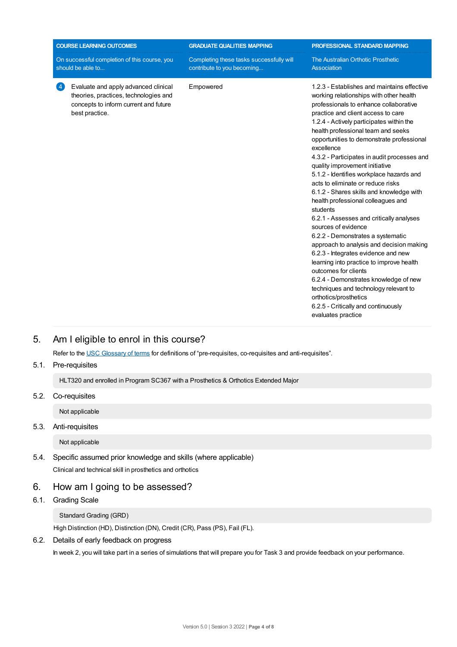|                                                                   | <b>COURSE LEARNING OUTCOMES</b>                                                                                                          | <b>GRADUATE QUALITIES MAPPING</b>                                      | PROFESSIONAL STANDARD MAPPING                                                                                                                                                                                                                                                                                                                                                                                                                                                                                                                                                                                                                                                                                                                                                                                                                                                                                                                                 |
|-------------------------------------------------------------------|------------------------------------------------------------------------------------------------------------------------------------------|------------------------------------------------------------------------|---------------------------------------------------------------------------------------------------------------------------------------------------------------------------------------------------------------------------------------------------------------------------------------------------------------------------------------------------------------------------------------------------------------------------------------------------------------------------------------------------------------------------------------------------------------------------------------------------------------------------------------------------------------------------------------------------------------------------------------------------------------------------------------------------------------------------------------------------------------------------------------------------------------------------------------------------------------|
| On successful completion of this course, you<br>should be able to |                                                                                                                                          | Completing these tasks successfully will<br>contribute to you becoming | The Australian Orthotic Prosthetic<br>Association                                                                                                                                                                                                                                                                                                                                                                                                                                                                                                                                                                                                                                                                                                                                                                                                                                                                                                             |
| -4                                                                | Evaluate and apply advanced clinical<br>theories, practices, technologies and<br>concepts to inform current and future<br>best practice. | Empowered                                                              | 1.2.3 - Establishes and maintains effective<br>working relationships with other health<br>professionals to enhance collaborative<br>practice and client access to care<br>1.2.4 - Actively participates within the<br>health professional team and seeks<br>opportunities to demonstrate professional<br>excellence<br>4.3.2 - Participates in audit processes and<br>quality improvement initiative<br>5.1.2 - Identifies workplace hazards and<br>acts to eliminate or reduce risks<br>6.1.2 - Shares skills and knowledge with<br>health professional colleagues and<br>students<br>6.2.1 - Assesses and critically analyses<br>sources of evidence<br>6.2.2 - Demonstrates a systematic<br>approach to analysis and decision making<br>6.2.3 - Integrates evidence and new<br>learning into practice to improve health<br>outcomes for clients<br>6.2.4 - Demonstrates knowledge of new<br>techniques and technology relevant to<br>orthotics/prosthetics |

6.2.5 - Critically and continuously

evaluates practice

## 5. Am Ieligible to enrol in this course?

Refer to the USC [Glossary](https://www.usc.edu.au/about/policies-and-procedures/glossary-of-terms-for-policy-and-procedures) of terms for definitions of "pre-requisites, co-requisites and anti-requisites".

5.1. Pre-requisites

HLT320 and enrolled in Program SC367 with a Prosthetics & Orthotics Extended Major

5.2. Co-requisites

Not applicable

5.3. Anti-requisites

Not applicable

- 5.4. Specific assumed prior knowledge and skills (where applicable) Clinical and technical skill in prosthetics and orthotics
- 6. How am Igoing to be assessed?
- 6.1. Grading Scale

## Standard Grading (GRD)

High Distinction (HD), Distinction (DN), Credit (CR), Pass (PS), Fail (FL).

## 6.2. Details of early feedback on progress

In week 2, you will take part in a series of simulations that will prepare you for Task 3 and provide feedback on your performance.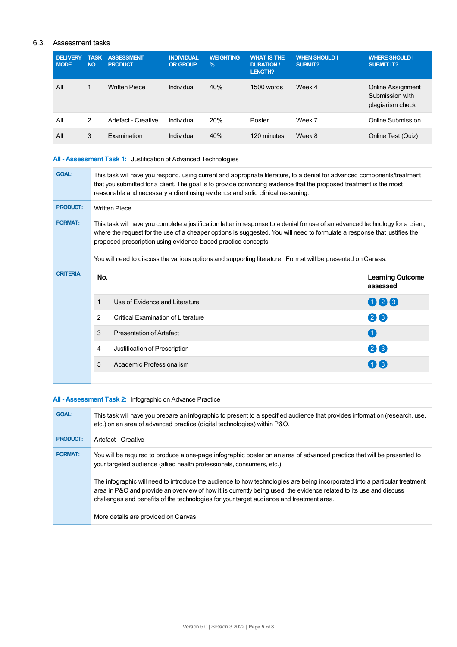## 6.3. Assessment tasks

| <b>DELIVERY</b><br><b>MODE</b> | <b>TASK</b><br>NO. | <b>ASSESSMENT</b><br><b>PRODUCT</b> | <b>INDIVIDUAL</b><br><b>OR GROUP</b> | <b>WEIGHTING</b><br>$\frac{9}{6}$ | <b>WHAT IS THE</b><br><b>DURATION /</b><br><b>LENGTH?</b> | <b>WHEN SHOULD I</b><br><b>SUBMIT?</b> | <b>WHERE SHOULD I</b><br><b>SUBMIT IT?</b>                      |
|--------------------------------|--------------------|-------------------------------------|--------------------------------------|-----------------------------------|-----------------------------------------------------------|----------------------------------------|-----------------------------------------------------------------|
| All                            | 1                  | <b>Written Piece</b>                | Individual                           | 40%                               | $1500$ words                                              | Week 4                                 | <b>Online Assignment</b><br>Submission with<br>plagiarism check |
| All                            | 2                  | Artefact - Creative                 | Individual                           | 20%                               | Poster                                                    | Week 7                                 | Online Submission                                               |
| All                            | 3                  | Examination                         | Individual                           | 40%                               | 120 minutes                                               | Week 8                                 | Online Test (Quiz)                                              |

## **All - Assessment Task 1:** Justification of Advanced Technologies

| <b>GOAL:</b>     |     | This task will have you respond, using current and appropriate literature, to a denial for advanced components/treatment<br>that you submitted for a client. The goal is to provide convincing evidence that the proposed treatment is the most<br>reasonable and necessary a client using evidence and solid clinical reasoning.                                                                                                            |                                     |  |  |  |  |
|------------------|-----|----------------------------------------------------------------------------------------------------------------------------------------------------------------------------------------------------------------------------------------------------------------------------------------------------------------------------------------------------------------------------------------------------------------------------------------------|-------------------------------------|--|--|--|--|
| <b>PRODUCT:</b>  |     | <b>Written Piece</b>                                                                                                                                                                                                                                                                                                                                                                                                                         |                                     |  |  |  |  |
| <b>FORMAT:</b>   |     | This task will have you complete a justification letter in response to a denial for use of an advanced technology for a client,<br>where the request for the use of a cheaper options is suggested. You will need to formulate a response that justifies the<br>proposed prescription using evidence-based practice concepts.<br>You will need to discuss the various options and supporting literature. Format will be presented on Canvas. |                                     |  |  |  |  |
| <b>CRITERIA:</b> |     |                                                                                                                                                                                                                                                                                                                                                                                                                                              |                                     |  |  |  |  |
|                  | No. |                                                                                                                                                                                                                                                                                                                                                                                                                                              | <b>Learning Outcome</b><br>assessed |  |  |  |  |
|                  | 1   | Use of Evidence and Literature                                                                                                                                                                                                                                                                                                                                                                                                               | 026                                 |  |  |  |  |
|                  | 2   | <b>Critical Examination of Literature</b>                                                                                                                                                                                                                                                                                                                                                                                                    | $(2)$ $(3)$                         |  |  |  |  |
|                  | 3   | <b>Presentation of Artefact</b>                                                                                                                                                                                                                                                                                                                                                                                                              | (1)                                 |  |  |  |  |
|                  | 4   | Justification of Prescription                                                                                                                                                                                                                                                                                                                                                                                                                | 26                                  |  |  |  |  |
|                  | 5   | Academic Professionalism                                                                                                                                                                                                                                                                                                                                                                                                                     | 113                                 |  |  |  |  |
|                  |     |                                                                                                                                                                                                                                                                                                                                                                                                                                              |                                     |  |  |  |  |

## **All - Assessment Task 2:** Infographic on Advance Practice

| <b>GOAL:</b>    | This task will have you prepare an infographic to present to a specified audience that provides information (research, use,<br>etc.) on an area of advanced practice (digital technologies) within P&O.                                                                                                                                      |
|-----------------|----------------------------------------------------------------------------------------------------------------------------------------------------------------------------------------------------------------------------------------------------------------------------------------------------------------------------------------------|
| <b>PRODUCT:</b> | Artefact - Creative                                                                                                                                                                                                                                                                                                                          |
| <b>FORMAT:</b>  | You will be required to produce a one-page infographic poster on an area of advanced practice that will be presented to<br>your targeted audience (allied health professionals, consumers, etc.).                                                                                                                                            |
|                 | The infographic will need to introduce the audience to how technologies are being incorporated into a particular treatment<br>area in P&O and provide an overview of how it is currently being used, the evidence related to its use and discuss<br>challenges and benefits of the technologies for your target audience and treatment area. |
|                 | More details are provided on Canvas.                                                                                                                                                                                                                                                                                                         |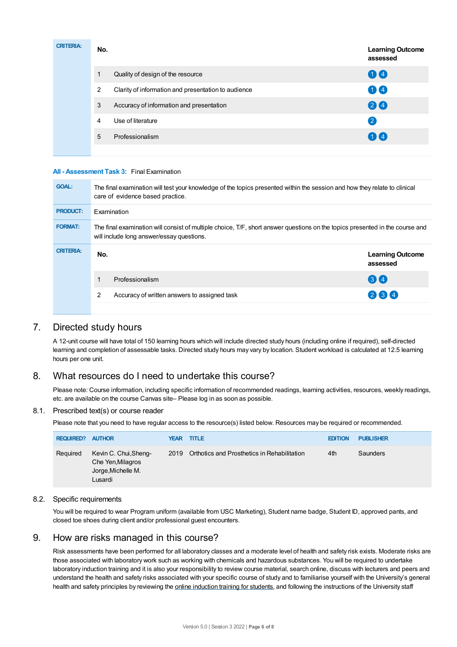| <b>CRITERIA:</b> | No. |                                                     | <b>Learning Outcome</b><br>assessed |
|------------------|-----|-----------------------------------------------------|-------------------------------------|
|                  | 1   | Quality of design of the resource                   | 00                                  |
|                  | 2   | Clarity of information and presentation to audience | 00                                  |
|                  | 3   | Accuracy of information and presentation            | 24                                  |
|                  | 4   | Use of literature                                   | $\left( 2\right)$                   |
|                  | 5   | Professionalism                                     | 00                                  |
|                  |     |                                                     |                                     |

## **All - Assessment Task 3:** Final Examination

| <b>GOAL:</b>     |     | The final examination will test your knowledge of the topics presented within the session and how they relate to clinical<br>care of evidence based practice.             |                                     |
|------------------|-----|---------------------------------------------------------------------------------------------------------------------------------------------------------------------------|-------------------------------------|
| <b>PRODUCT:</b>  |     | <b>Examination</b>                                                                                                                                                        |                                     |
| <b>FORMAT:</b>   |     | The final examination will consist of multiple choice, T/F, short answer questions on the topics presented in the course and<br>will include long answer/essay questions. |                                     |
| <b>CRITERIA:</b> | No. |                                                                                                                                                                           | <b>Learning Outcome</b><br>assessed |
|                  |     | Professionalism                                                                                                                                                           | $\left( 3\right) 4$                 |
|                  | 2   | Accuracy of written answers to assigned task                                                                                                                              | 264                                 |
|                  |     |                                                                                                                                                                           |                                     |

## 7. Directed study hours

A 12-unit course will have total of 150 learning hours which will include directed study hours (including online if required), self-directed learning and completion of assessable tasks. Directed study hours may vary by location. Student workload is calculated at 12.5 learning hours per one unit.

## 8. What resources do I need to undertake this course?

Please note: Course information, including specific information of recommended readings, learning activities, resources, weekly readings, etc. are available on the course Canvas site– Please log in as soon as possible.

## 8.1. Prescribed text(s) or course reader

Please note that you need to have regular access to the resource(s) listed below. Resources may be required or recommended.

| <b>REQUIRED?</b> | <b>AUTHOR</b>                                                               | <b>YEAR TITLE</b> |                                                  | <b>EDITION</b> | <b>PUBLISHER</b> |
|------------------|-----------------------------------------------------------------------------|-------------------|--------------------------------------------------|----------------|------------------|
| Required         | Kevin C. Chui, Sheng-<br>Che Yen, Milagros<br>Jorge, Michelle M.<br>Lusardi |                   | 2019 Orthotics and Prosthetics in Rehabilitation | 4th            | Saunders         |

## 8.2. Specific requirements

You will be required to wear Program uniform (available from USC Marketing), Student name badge, Student ID, approved pants, and closed toe shoes during client and/or professional guest encounters.

## 9. How are risks managed in this course?

Risk assessments have been performed for all laboratory classes and a moderate level of health and safety risk exists. Moderate risks are those associated with laboratory work such as working with chemicals and hazardous substances. You will be required to undertake laboratory induction training and it is also your responsibility to review course material, search online, discuss with lecturers and peers and understand the health and safety risks associated with your specific course of study and to familiarise yourself with the University's general health and safety principles by reviewing the online [induction](https://online.usc.edu.au/webapps/blackboard/content/listContentEditable.jsp?content_id=_632657_1&course_id=_14432_1) training for students, and following the instructions of the University staff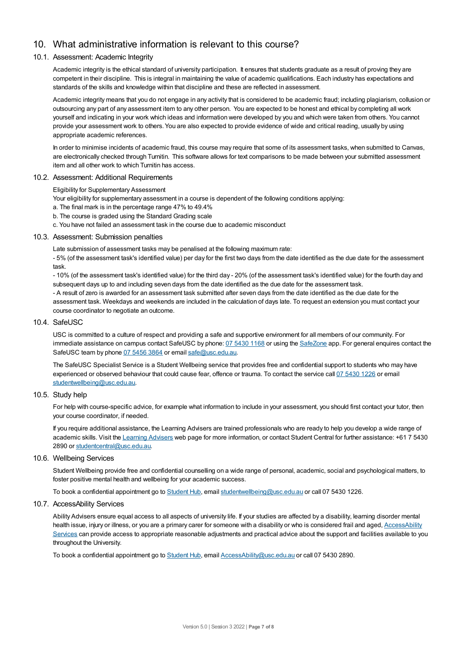## 10. What administrative information is relevant to this course?

## 10.1. Assessment: Academic Integrity

Academic integrity is the ethical standard of university participation. It ensures that students graduate as a result of proving they are competent in their discipline. This is integral in maintaining the value of academic qualifications. Each industry has expectations and standards of the skills and knowledge within that discipline and these are reflected in assessment.

Academic integrity means that you do not engage in any activity that is considered to be academic fraud; including plagiarism, collusion or outsourcing any part of any assessment item to any other person. You are expected to be honest and ethical by completing all work yourself and indicating in your work which ideas and information were developed by you and which were taken from others. You cannot provide your assessment work to others.You are also expected to provide evidence of wide and critical reading, usually by using appropriate academic references.

In order to minimise incidents of academic fraud, this course may require that some of its assessment tasks, when submitted to Canvas, are electronically checked through Turnitin. This software allows for text comparisons to be made between your submitted assessment item and all other work to which Turnitin has access.

## 10.2. Assessment: Additional Requirements

Eligibility for Supplementary Assessment

- Your eligibility for supplementary assessment in a course is dependent of the following conditions applying:
- a. The final mark is in the percentage range 47% to 49.4%
- b. The course is graded using the Standard Grading scale
- c. You have not failed an assessment task in the course due to academic misconduct

#### 10.3. Assessment: Submission penalties

Late submission of assessment tasks may be penalised at the following maximum rate:

- 5% (of the assessment task's identified value) per day for the first two days from the date identified as the due date for the assessment task.

- 10% (of the assessment task's identified value) for the third day - 20% (of the assessment task's identified value) for the fourth day and subsequent days up to and including seven days from the date identified as the due date for the assessment task.

- A result of zero is awarded for an assessment task submitted after seven days from the date identified as the due date for the assessment task. Weekdays and weekends are included in the calculation of days late. To request an extension you must contact your course coordinator to negotiate an outcome.

#### 10.4. SafeUSC

USC is committed to a culture of respect and providing a safe and supportive environment for all members of our community. For immediate assistance on campus contact SafeUSC by phone: 07 [5430](tel:07%205430%201168) 1168 or using the [SafeZone](https://www.safezoneapp.com) app. For general enquires contact the SafeUSC team by phone 07 [5456](tel:07%205456%203864) 3864 or email [safe@usc.edu.au](mailto:safe@usc.edu.au).

The SafeUSC Specialist Service is a Student Wellbeing service that provides free and confidential support to students who may have experienced or observed behaviour that could cause fear, offence or trauma. To contact the service call 07 [5430](tel:07%205430%201226) 1226 or email [studentwellbeing@usc.edu.au](mailto:studentwellbeing@usc.edu.au).

## 10.5. Study help

For help with course-specific advice, for example what information to include in your assessment, you should first contact your tutor, then your course coordinator, if needed.

If you require additional assistance, the Learning Advisers are trained professionals who are ready to help you develop a wide range of academic skills. Visit the Learning [Advisers](https://www.usc.edu.au/current-students/student-support/academic-and-study-support/learning-advisers) web page for more information, or contact Student Central for further assistance: +61 7 5430 2890 or [studentcentral@usc.edu.au](mailto:studentcentral@usc.edu.au).

## 10.6. Wellbeing Services

Student Wellbeing provide free and confidential counselling on a wide range of personal, academic, social and psychological matters, to foster positive mental health and wellbeing for your academic success.

To book a confidential appointment go to [Student](https://studenthub.usc.edu.au/) Hub, email [studentwellbeing@usc.edu.au](mailto:studentwellbeing@usc.edu.au) or call 07 5430 1226.

#### 10.7. AccessAbility Services

Ability Advisers ensure equal access to all aspects of university life. If your studies are affected by a disability, learning disorder mental health issue, injury or illness, or you are a primary carer for someone with a disability or who is considered frail and aged, [AccessAbility](https://www.usc.edu.au/learn/student-support/accessability-services/documentation-requirements) Services can provide access to appropriate reasonable adjustments and practical advice about the support and facilities available to you throughout the University.

To book a confidential appointment go to [Student](https://studenthub.usc.edu.au/) Hub, email [AccessAbility@usc.edu.au](mailto:AccessAbility@usc.edu.au) or call 07 5430 2890.